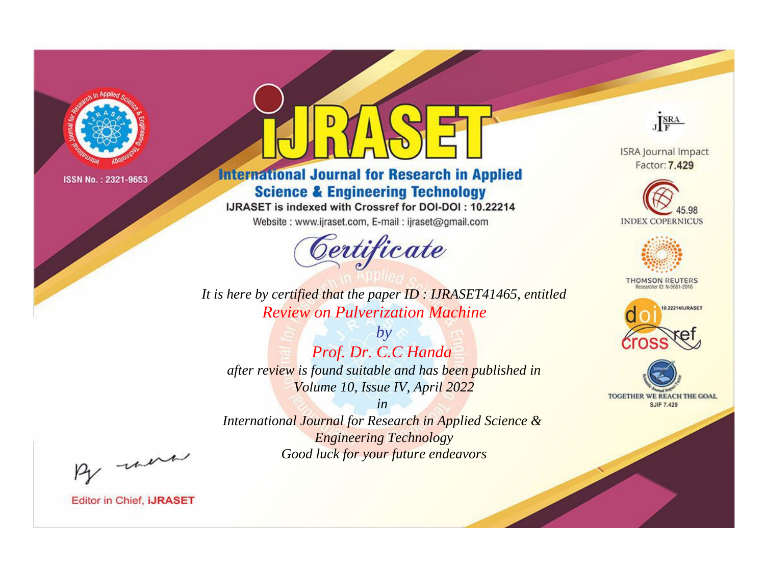

# **International Journal for Research in Applied Science & Engineering Technology**

IJRASET is indexed with Crossref for DOI-DOI: 10.22214

Website: www.ijraset.com, E-mail: ijraset@gmail.com



JERA

**ISRA Journal Impact** Factor: 7.429





**THOMSON REUTERS** 



TOGETHER WE REACH THE GOAL **SJIF 7.429** 

*It is here by certified that the paper ID : IJRASET41465, entitled Review on Pulverization Machine*

*by Prof. Dr. C.C Handa after review is found suitable and has been published in Volume 10, Issue IV, April 2022*

*in* 

*International Journal for Research in Applied Science & Engineering Technology Good luck for your future endeavors*

By morn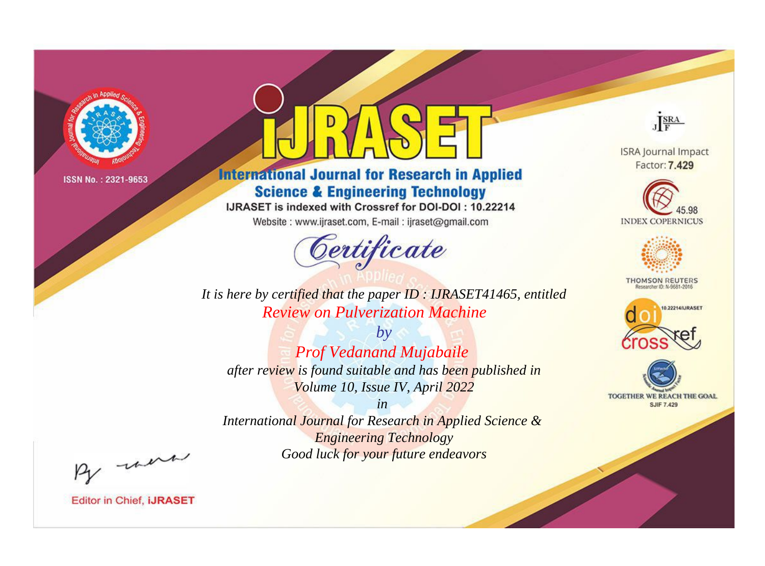

# **International Journal for Research in Applied Science & Engineering Technology**

IJRASET is indexed with Crossref for DOI-DOI: 10.22214

Website: www.ijraset.com, E-mail: ijraset@gmail.com



JERA

**ISRA Journal Impact** Factor: 7.429





**THOMSON REUTERS** 



TOGETHER WE REACH THE GOAL **SJIF 7.429** 

*It is here by certified that the paper ID : IJRASET41465, entitled Review on Pulverization Machine*

*by Prof Vedanand Mujabaile after review is found suitable and has been published in Volume 10, Issue IV, April 2022*

*in* 

*International Journal for Research in Applied Science & Engineering Technology Good luck for your future endeavors*

By morn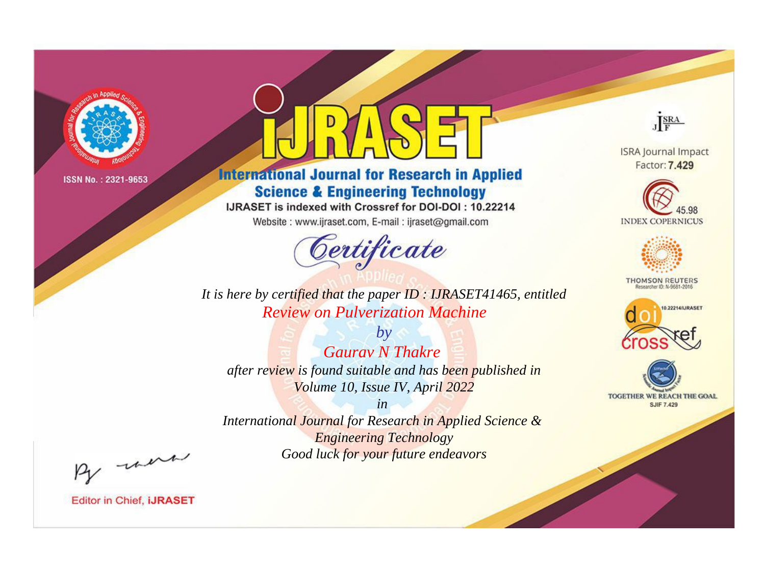

# **International Journal for Research in Applied Science & Engineering Technology**

IJRASET is indexed with Crossref for DOI-DOI: 10.22214

Website: www.ijraset.com, E-mail: ijraset@gmail.com



JERA

**ISRA Journal Impact** Factor: 7.429





**THOMSON REUTERS** 



TOGETHER WE REACH THE GOAL **SJIF 7.429** 

*It is here by certified that the paper ID : IJRASET41465, entitled Review on Pulverization Machine*

*by Gaurav N Thakre after review is found suitable and has been published in Volume 10, Issue IV, April 2022*

*in* 

*International Journal for Research in Applied Science & Engineering Technology Good luck for your future endeavors*

By morn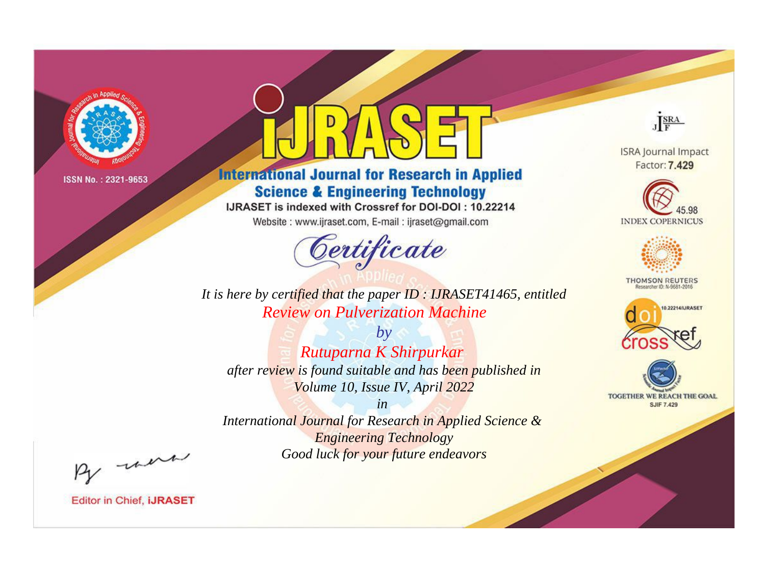

# **International Journal for Research in Applied Science & Engineering Technology**

IJRASET is indexed with Crossref for DOI-DOI: 10.22214

Website: www.ijraset.com, E-mail: ijraset@gmail.com



JERA

**ISRA Journal Impact** Factor: 7.429





**THOMSON REUTERS** 



TOGETHER WE REACH THE GOAL **SJIF 7.429** 

*It is here by certified that the paper ID : IJRASET41465, entitled Review on Pulverization Machine*

*by Rutuparna K Shirpurkar after review is found suitable and has been published in Volume 10, Issue IV, April 2022*

*in International Journal for Research in Applied Science & Engineering Technology Good luck for your future endeavors*

By morn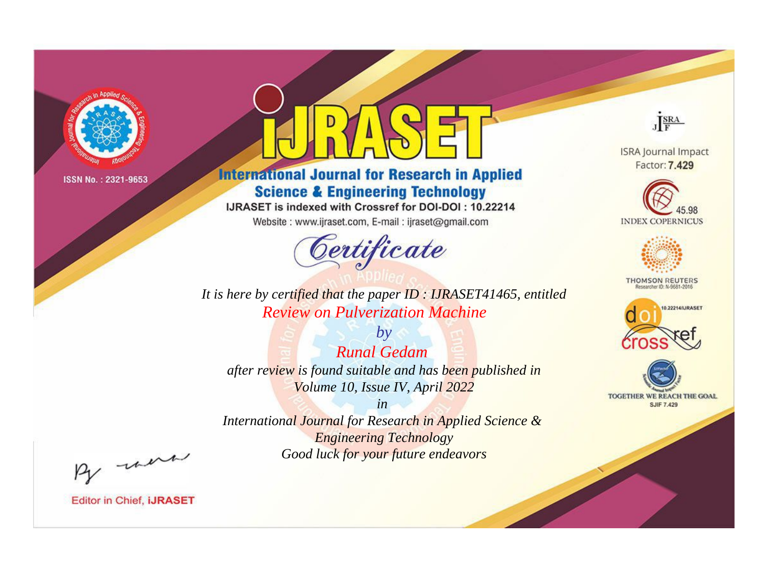

# **International Journal for Research in Applied Science & Engineering Technology**

IJRASET is indexed with Crossref for DOI-DOI: 10.22214

Website: www.ijraset.com, E-mail: ijraset@gmail.com



**ISRA Journal Impact** Factor: 7.429

JERA

**INDEX COPERNICUS** 



**THOMSON REUTERS** 



TOGETHER WE REACH THE GOAL **SJIF 7.429** 

*It is here by certified that the paper ID : IJRASET41465, entitled Review on Pulverization Machine*

*by Runal Gedam after review is found suitable and has been published in Volume 10, Issue IV, April 2022*

*in* 

*International Journal for Research in Applied Science & Engineering Technology Good luck for your future endeavors*

By morn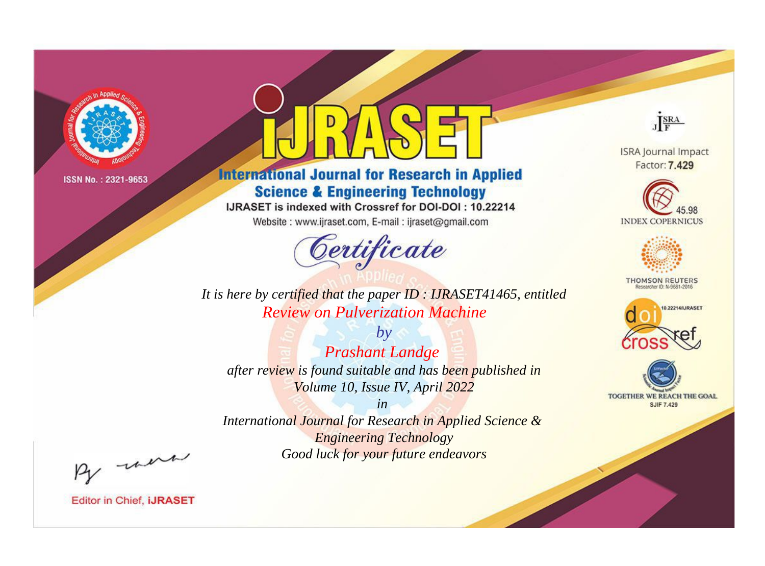

# **International Journal for Research in Applied Science & Engineering Technology**

IJRASET is indexed with Crossref for DOI-DOI: 10.22214

Website: www.ijraset.com, E-mail: ijraset@gmail.com



JERA

**ISRA Journal Impact** Factor: 7.429





**THOMSON REUTERS** 



TOGETHER WE REACH THE GOAL **SJIF 7.429** 

*It is here by certified that the paper ID : IJRASET41465, entitled Review on Pulverization Machine*

*by Prashant Landge after review is found suitable and has been published in Volume 10, Issue IV, April 2022*

*in* 

*International Journal for Research in Applied Science & Engineering Technology Good luck for your future endeavors*

By morn